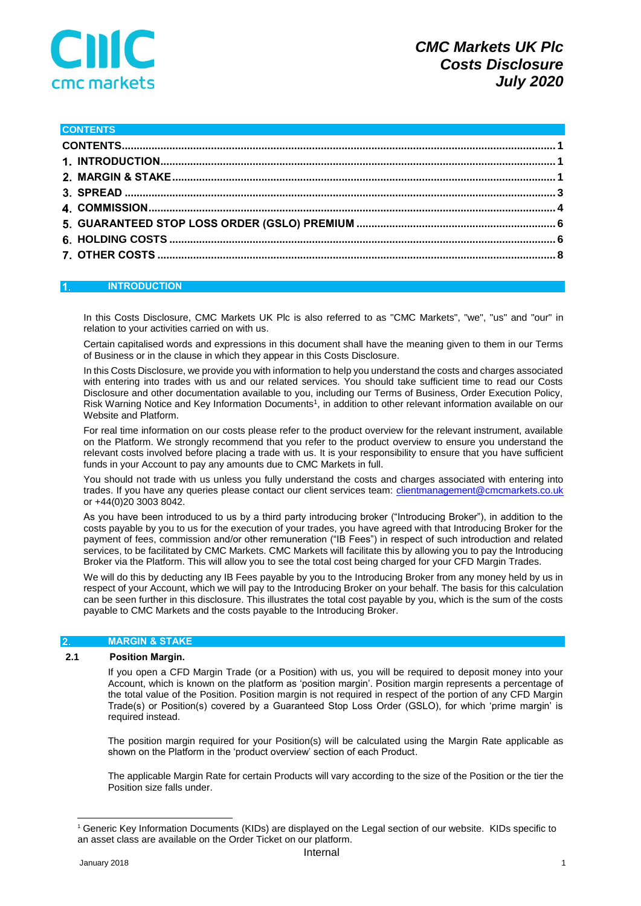

#### <span id="page-0-0"></span>**CONTENTS**

#### <span id="page-0-1"></span> $\overline{1}$ . **INTRODUCTION**

In this Costs Disclosure, CMC Markets UK Plc is also referred to as "CMC Markets", "we", "us" and "our" in relation to your activities carried on with us.

Certain capitalised words and expressions in this document shall have the meaning given to them in our Terms of Business or in the clause in which they appear in this Costs Disclosure.

In this Costs Disclosure, we provide you with information to help you understand the costs and charges associated with entering into trades with us and our related services. You should take sufficient time to read our Costs Disclosure and other documentation available to you, including our Terms of Business, Order Execution Policy, Risk Warning Notice and Key Information Documents<sup>1</sup>, in addition to other relevant information available on our Website and Platform.

For real time information on our costs please refer to the product overview for the relevant instrument, available on the Platform. We strongly recommend that you refer to the product overview to ensure you understand the relevant costs involved before placing a trade with us. It is your responsibility to ensure that you have sufficient funds in your Account to pay any amounts due to CMC Markets in full.

You should not trade with us unless you fully understand the costs and charges associated with entering into trades. If you have any queries please contact our client services team: [clientmanagement@cmcmarkets.co.uk](mailto:clientmanagement@cmcmarkets.co.uk) or +44(0)20 3003 8042.

As you have been introduced to us by a third party introducing broker ("Introducing Broker"), in addition to the costs payable by you to us for the execution of your trades, you have agreed with that Introducing Broker for the payment of fees, commission and/or other remuneration ("IB Fees") in respect of such introduction and related services, to be facilitated by CMC Markets. CMC Markets will facilitate this by allowing you to pay the Introducing Broker via the Platform. This will allow you to see the total cost being charged for your CFD Margin Trades.

We will do this by deducting any IB Fees payable by you to the Introducing Broker from any money held by us in respect of your Account, which we will pay to the Introducing Broker on your behalf. The basis for this calculation can be seen further in this disclosure. This illustrates the total cost payable by you, which is the sum of the costs payable to CMC Markets and the costs payable to the Introducing Broker.

#### <span id="page-0-2"></span>**MARGIN & STAKE** 2.

# **2.1 Position Margin.**

If you open a CFD Margin Trade (or a Position) with us, you will be required to deposit money into your Account, which is known on the platform as 'position margin'. Position margin represents a percentage of the total value of the Position. Position margin is not required in respect of the portion of any CFD Margin Trade(s) or Position(s) covered by a Guaranteed Stop Loss Order (GSLO), for which 'prime margin' is required instead.

The position margin required for your Position(s) will be calculated using the Margin Rate applicable as shown on the Platform in the 'product overview' section of each Product.

The applicable Margin Rate for certain Products will vary according to the size of the Position or the tier the Position size falls under.

-

<sup>1</sup> Generic Key Information Documents (KIDs) are displayed on the Legal section of our website. KIDs specific to an asset class are available on the Order Ticket on our platform.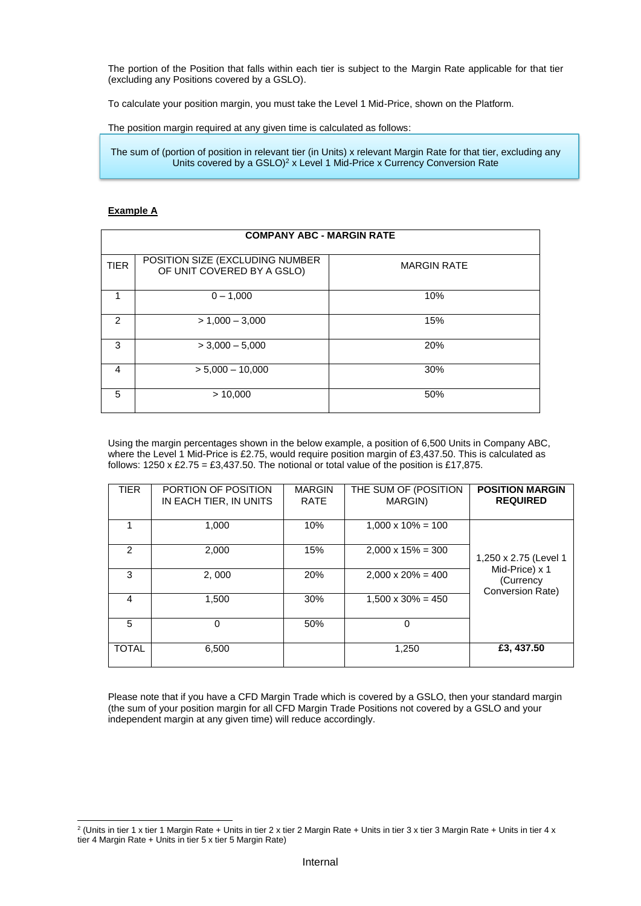The portion of the Position that falls within each tier is subject to the Margin Rate applicable for that tier (excluding any Positions covered by a GSLO).

To calculate your position margin, you must take the Level 1 Mid-Price, shown on the Platform.

The position margin required at any given time is calculated as follows:

The sum of (portion of position in relevant tier (in Units) x relevant Margin Rate for that tier, excluding any Units covered by a GSLO)<sup>2</sup> x Level 1 Mid-Price x Currency Conversion Rate

# **Example A**

| <b>COMPANY ABC - MARGIN RATE</b> |                                                               |                    |  |
|----------------------------------|---------------------------------------------------------------|--------------------|--|
| <b>TIER</b>                      | POSITION SIZE (EXCLUDING NUMBER<br>OF UNIT COVERED BY A GSLO) | <b>MARGIN RATE</b> |  |
|                                  | $0 - 1,000$                                                   | 10%                |  |
| $\mathcal{P}$                    | $> 1,000 - 3,000$                                             | 15%                |  |
| 3                                | $>$ 3,000 $-$ 5,000                                           | 20%                |  |
| $\overline{4}$                   | $> 5,000 - 10,000$                                            | 30%                |  |
| 5                                | > 10,000                                                      | 50%                |  |

Using the margin percentages shown in the below example, a position of 6,500 Units in Company ABC, where the Level 1 Mid-Price is £2.75, would require position margin of £3,437.50. This is calculated as follows: 1250 x £2.75 = £3,437.50. The notional or total value of the position is £17,875.

| <b>TIER</b>   | PORTION OF POSITION<br>IN EACH TIER, IN UNITS | <b>MARGIN</b><br><b>RATE</b> | THE SUM OF (POSITION<br>MARGIN) | <b>POSITION MARGIN</b><br><b>REQUIRED</b>       |
|---------------|-----------------------------------------------|------------------------------|---------------------------------|-------------------------------------------------|
|               | 1.000                                         | 10%                          | $1,000 \times 10\% = 100$       |                                                 |
| $\mathcal{P}$ | 2,000                                         | 15%                          | $2,000 \times 15\% = 300$       | 1,250 x 2.75 (Level 1                           |
| 3             | 2,000                                         | 20%                          | $2,000 \times 20\% = 400$       | Mid-Price) x 1<br>(Currency<br>Conversion Rate) |
| 4             | 1,500                                         | 30%                          | $1,500 \times 30\% = 450$       |                                                 |
| 5             | 0                                             | 50%                          | 0                               |                                                 |
| <b>TOTAL</b>  | 6,500                                         |                              | 1,250                           | £3, 437.50                                      |

Please note that if you have a CFD Margin Trade which is covered by a GSLO, then your standard margin (the sum of your position margin for all CFD Margin Trade Positions not covered by a GSLO and your independent margin at any given time) will reduce accordingly.

 2 (Units in tier 1 x tier 1 Margin Rate + Units in tier 2 x tier 2 Margin Rate + Units in tier 3 x tier 3 Margin Rate + Units in tier 4 x tier 4 Margin Rate + Units in tier 5 x tier 5 Margin Rate)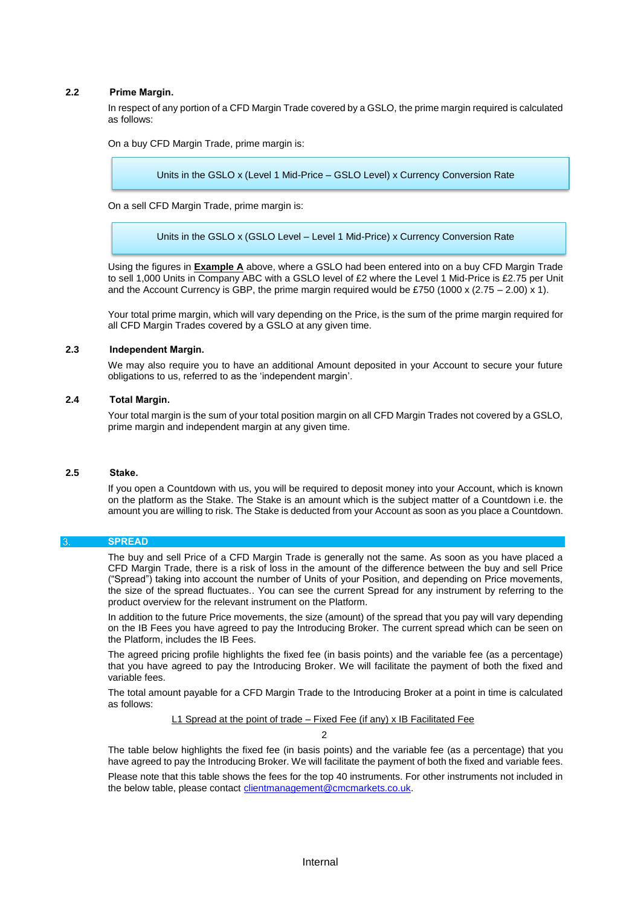# **2.2 Prime Margin.**

In respect of any portion of a CFD Margin Trade covered by a GSLO, the prime margin required is calculated as follows:

On a buy CFD Margin Trade, prime margin is:

Units in the GSLO x (Level 1 Mid-Price – GSLO Level) x Currency Conversion Rate

On a sell CFD Margin Trade, prime margin is:

Units in the GSLO x (GSLO Level – Level 1 Mid-Price) x Currency Conversion Rate

Using the figures in **Example A** above, where a GSLO had been entered into on a buy CFD Margin Trade to sell 1,000 Units in Company ABC with a GSLO level of £2 where the Level 1 Mid-Price is £2.75 per Unit and the Account Currency is GBP, the prime margin required would be £750 (1000 x (2.75 – 2.00) x 1).

Your total prime margin, which will vary depending on the Price, is the sum of the prime margin required for all CFD Margin Trades covered by a GSLO at any given time.

# **2.3 Independent Margin.**

We may also require you to have an additional Amount deposited in your Account to secure your future obligations to us, referred to as the 'independent margin'.

#### **2.4 Total Margin.**

Your total margin is the sum of your total position margin on all CFD Margin Trades not covered by a GSLO, prime margin and independent margin at any given time.

#### **2.5 Stake.**

If you open a Countdown with us, you will be required to deposit money into your Account, which is known on the platform as the Stake. The Stake is an amount which is the subject matter of a Countdown i.e. the amount you are willing to risk. The Stake is deducted from your Account as soon as you place a Countdown.

# <span id="page-2-0"></span>**SPREAD**

The buy and sell Price of a CFD Margin Trade is generally not the same. As soon as you have placed a CFD Margin Trade, there is a risk of loss in the amount of the difference between the buy and sell Price ("Spread") taking into account the number of Units of your Position, and depending on Price movements, the size of the spread fluctuates.. You can see the current Spread for any instrument by referring to the product overview for the relevant instrument on the Platform.

In addition to the future Price movements, the size (amount) of the spread that you pay will vary depending on the IB Fees you have agreed to pay the Introducing Broker. The current spread which can be seen on the Platform, includes the IB Fees.

The agreed pricing profile highlights the fixed fee (in basis points) and the variable fee (as a percentage) that you have agreed to pay the Introducing Broker. We will facilitate the payment of both the fixed and variable fees.

The total amount payable for a CFD Margin Trade to the Introducing Broker at a point in time is calculated as follows:

L1 Spread at the point of trade – Fixed Fee (if any) x IB Facilitated Fee

 $\mathcal{L}$ 

The table below highlights the fixed fee (in basis points) and the variable fee (as a percentage) that you have agreed to pay the Introducing Broker. We will facilitate the payment of both the fixed and variable fees.

Please note that this table shows the fees for the top 40 instruments. For other instruments not included in the below table, please contact [clientmanagement@cmcmarkets.co.uk.](mailto:clientmanagement@cmcmarkets.co.uk)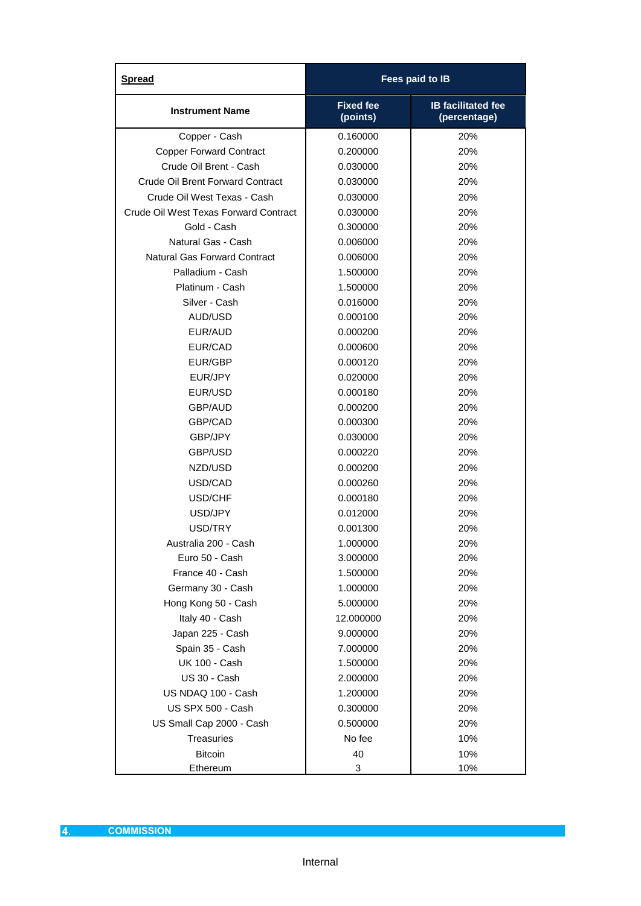<span id="page-3-0"></span>

| <b>Spread</b>                           | Fees paid to IB              |                                           |  |
|-----------------------------------------|------------------------------|-------------------------------------------|--|
| <b>Instrument Name</b>                  | <b>Fixed fee</b><br>(points) | <b>IB facilitated fee</b><br>(percentage) |  |
| Copper - Cash                           | 0.160000                     | 20%                                       |  |
| <b>Copper Forward Contract</b>          | 0.200000                     | 20%                                       |  |
| Crude Oil Brent - Cash                  | 0.030000                     | 20%                                       |  |
| <b>Crude Oil Brent Forward Contract</b> | 0.030000                     | 20%                                       |  |
| Crude Oil West Texas - Cash             | 0.030000                     | 20%                                       |  |
| Crude Oil West Texas Forward Contract   | 0.030000                     | 20%                                       |  |
| Gold - Cash                             | 0.300000                     | 20%                                       |  |
| Natural Gas - Cash                      | 0.006000                     | 20%                                       |  |
| <b>Natural Gas Forward Contract</b>     | 0.006000                     | 20%                                       |  |
| Palladium - Cash                        | 1.500000                     | 20%                                       |  |
| Platinum - Cash                         | 1.500000                     | 20%                                       |  |
| Silver - Cash                           | 0.016000                     | 20%                                       |  |
| AUD/USD                                 | 0.000100                     | 20%                                       |  |
| EUR/AUD                                 | 0.000200                     | 20%                                       |  |
| EUR/CAD                                 | 0.000600                     | 20%                                       |  |
| EUR/GBP                                 | 0.000120                     | 20%                                       |  |
| EUR/JPY                                 | 0.020000                     | 20%                                       |  |
| EUR/USD                                 | 0.000180                     | 20%                                       |  |
| <b>GBP/AUD</b>                          | 0.000200                     | 20%                                       |  |
| GBP/CAD                                 | 0.000300                     | 20%                                       |  |
| GBP/JPY                                 | 0.030000                     | 20%                                       |  |
| GBP/USD                                 | 0.000220                     | 20%                                       |  |
| NZD/USD                                 | 0.000200                     | 20%                                       |  |
| USD/CAD                                 | 0.000260                     | 20%                                       |  |
| USD/CHF                                 | 0.000180                     | 20%                                       |  |
| USD/JPY                                 | 0.012000                     | 20%                                       |  |
| USD/TRY                                 | 0.001300                     | 20%                                       |  |
| Australia 200 - Cash                    | 1.000000                     | 20%                                       |  |
| Euro 50 - Cash                          | 3.000000                     | 20%                                       |  |
| France 40 - Cash                        | 1.500000                     | 20%                                       |  |
| Germany 30 - Cash                       | 1.000000                     | 20%                                       |  |
| Hong Kong 50 - Cash                     | 5.000000                     | 20%                                       |  |
| Italy 40 - Cash                         | 12.000000                    | 20%                                       |  |
| Japan 225 - Cash                        | 9.000000                     | 20%                                       |  |
| Spain 35 - Cash                         | 7.000000                     | 20%                                       |  |
| <b>UK 100 - Cash</b>                    | 1.500000                     | 20%                                       |  |
| US 30 - Cash                            | 2.000000                     | 20%                                       |  |
| US NDAQ 100 - Cash                      | 1.200000                     | 20%                                       |  |
| <b>US SPX 500 - Cash</b>                | 0.300000                     | 20%                                       |  |
| US Small Cap 2000 - Cash                | 0.500000                     | 20%                                       |  |
| <b>Treasuries</b>                       | No fee                       | 10%                                       |  |
| <b>Bitcoin</b>                          | 40                           | 10%                                       |  |
| Ethereum                                | 3                            | 10%                                       |  |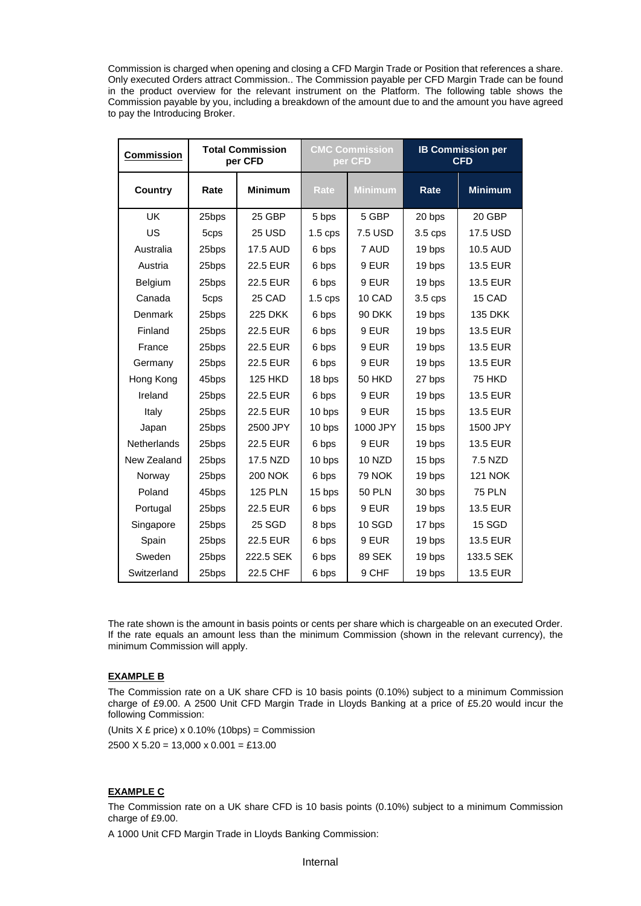Commission is charged when opening and closing a CFD Margin Trade or Position that references a share. Only executed Orders attract Commission.. The Commission payable per CFD Margin Trade can be found in the product overview for the relevant instrument on the Platform. The following table shows the Commission payable by you, including a breakdown of the amount due to and the amount you have agreed to pay the Introducing Broker.

| <b>Commission</b> | <b>Total Commission</b><br>per CFD |                 | <b>CMC Commission</b><br>per CFD |                |           | <b>IB Commission per</b><br><b>CFD</b> |
|-------------------|------------------------------------|-----------------|----------------------------------|----------------|-----------|----------------------------------------|
| Country           | Rate                               | <b>Minimum</b>  | Rate                             | <b>Minimum</b> | Rate      | <b>Minimum</b>                         |
| <b>UK</b>         | 25bps                              | 25 GBP          | 5 bps                            | 5 GBP          | 20 bps    | 20 GBP                                 |
| US                | 5cps                               | <b>25 USD</b>   | $1.5$ cps                        | 7.5 USD        | $3.5$ cps | 17.5 USD                               |
| Australia         | 25bps                              | <b>17.5 AUD</b> | 6 bps                            | 7 AUD          | 19 bps    | 10.5 AUD                               |
| Austria           | 25bps                              | 22.5 EUR        | 6 bps                            | 9 EUR          | 19 bps    | <b>13.5 EUR</b>                        |
| <b>Belgium</b>    | 25bps                              | 22.5 EUR        | 6 bps                            | 9 EUR          | 19 bps    | <b>13.5 EUR</b>                        |
| Canada            | 5cps                               | 25 CAD          | $1.5 \,\mathrm{cps}$             | 10 CAD         | 3.5 cps   | 15 CAD                                 |
| Denmark           | 25bps                              | 225 DKK         | 6 bps                            | <b>90 DKK</b>  | 19 bps    | 135 DKK                                |
| Finland           | 25bps                              | 22.5 EUR        | 6 bps                            | 9 EUR          | 19 bps    | 13.5 EUR                               |
| France            | 25bps                              | 22.5 EUR        | 6 bps                            | 9 EUR          | 19 bps    | <b>13.5 EUR</b>                        |
| Germany           | 25bps                              | 22.5 EUR        | 6 bps                            | 9 EUR          | 19 bps    | 13.5 EUR                               |
| Hong Kong         | 45bps                              | <b>125 HKD</b>  | 18 bps                           | <b>50 HKD</b>  | 27 bps    | <b>75 HKD</b>                          |
| Ireland           | 25bps                              | 22.5 EUR        | 6 bps                            | 9 EUR          | 19 bps    | 13.5 EUR                               |
| Italy             | 25bps                              | 22.5 EUR        | 10 bps                           | 9 EUR          | 15 bps    | 13.5 EUR                               |
| Japan             | 25bps                              | 2500 JPY        | 10 bps                           | 1000 JPY       | 15 bps    | 1500 JPY                               |
| Netherlands       | 25bps                              | 22.5 EUR        | 6 bps                            | 9 EUR          | 19 bps    | 13.5 EUR                               |
| New Zealand       | 25bps                              | 17.5 NZD        | 10 bps                           | <b>10 NZD</b>  | 15 bps    | 7.5 NZD                                |
| Norway            | 25bps                              | <b>200 NOK</b>  | 6 bps                            | <b>79 NOK</b>  | 19 bps    | <b>121 NOK</b>                         |
| Poland            | 45bps                              | <b>125 PLN</b>  | 15 bps                           | <b>50 PLN</b>  | 30 bps    | <b>75 PLN</b>                          |
| Portugal          | 25bps                              | 22.5 EUR        | 6 bps                            | 9 EUR          | 19 bps    | <b>13.5 EUR</b>                        |
| Singapore         | 25bps                              | 25 SGD          | 8 bps                            | 10 SGD         | 17 bps    | 15 SGD                                 |
| Spain             | 25bps                              | 22.5 EUR        | 6 bps                            | 9 EUR          | 19 bps    | 13.5 EUR                               |
| Sweden            | 25bps                              | 222.5 SEK       | 6 bps                            | 89 SEK         | 19 bps    | 133.5 SEK                              |
| Switzerland       | 25bps                              | 22.5 CHF        | 6 bps                            | 9 CHF          | 19 bps    | 13.5 EUR                               |

The rate shown is the amount in basis points or cents per share which is chargeable on an executed Order. If the rate equals an amount less than the minimum Commission (shown in the relevant currency), the minimum Commission will apply.

# **EXAMPLE B**

The Commission rate on a UK share CFD is 10 basis points (0.10%) subject to a minimum Commission charge of £9.00. A 2500 Unit CFD Margin Trade in Lloyds Banking at a price of £5.20 would incur the following Commission:

(Units  $X \nLpsilon$  price) x 0.10% (10bps) = Commission

 $2500 \times 5.20 = 13,000 \times 0.001 = \text{\textsterling}13.00$ 

# **EXAMPLE C**

The Commission rate on a UK share CFD is 10 basis points (0.10%) subject to a minimum Commission charge of £9.00.

A 1000 Unit CFD Margin Trade in Lloyds Banking Commission: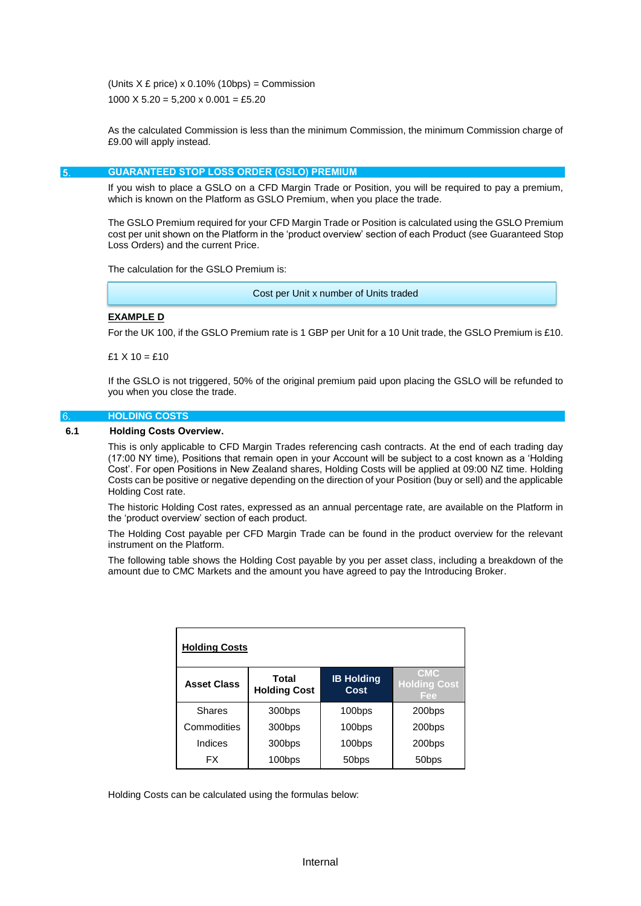(Units  $X \nvert$  price) x 0.10% (10bps) = Commission 1000 X  $5.20 = 5,200 \times 0.001 = \text{\textsterling}5.20$ 

As the calculated Commission is less than the minimum Commission, the minimum Commission charge of £9.00 will apply instead.

<span id="page-5-0"></span>5.

#### **GUARANTEED STOP LOSS ORDER (GSLO) PREMIUM**

If you wish to place a GSLO on a CFD Margin Trade or Position, you will be required to pay a premium, which is known on the Platform as GSLO Premium, when you place the trade.

The GSLO Premium required for your CFD Margin Trade or Position is calculated using the GSLO Premium cost per unit shown on the Platform in the 'product overview' section of each Product (see Guaranteed Stop Loss Orders) and the current Price.

The calculation for the GSLO Premium is:

Cost per Unit x number of Units traded

# **EXAMPLE D**

For the UK 100, if the GSLO Premium rate is 1 GBP per Unit for a 10 Unit trade, the GSLO Premium is £10.

 $f1 X 10 = f10$ 

If the GSLO is not triggered, 50% of the original premium paid upon placing the GSLO will be refunded to you when you close the trade.

## <span id="page-5-1"></span>**HOLDING COSTS**

# **6.1 Holding Costs Overview.**

This is only applicable to CFD Margin Trades referencing cash contracts. At the end of each trading day (17:00 NY time), Positions that remain open in your Account will be subject to a cost known as a 'Holding Cost'. For open Positions in New Zealand shares, Holding Costs will be applied at 09:00 NZ time. Holding Costs can be positive or negative depending on the direction of your Position (buy or sell) and the applicable Holding Cost rate.

The historic Holding Cost rates, expressed as an annual percentage rate, are available on the Platform in the 'product overview' section of each product.

The Holding Cost payable per CFD Margin Trade can be found in the product overview for the relevant instrument on the Platform.

The following table shows the Holding Cost payable by you per asset class, including a breakdown of the amount due to CMC Markets and the amount you have agreed to pay the Introducing Broker.

| <b>Holding Costs</b> |                              |                           |                                          |
|----------------------|------------------------------|---------------------------|------------------------------------------|
| <b>Asset Class</b>   | Total<br><b>Holding Cost</b> | <b>IB Holding</b><br>Cost | <b>CMC</b><br><b>Holding Cost</b><br>Fee |
| <b>Shares</b>        | 300bps                       | 100bps                    | 200bps                                   |
| Commodities          | 300bps                       | 100bps                    | 200bps                                   |
| Indices              | 300bps                       | 100bps                    | 200bps                                   |
| <b>FX</b>            | 100bps                       | 50 <sub>bps</sub>         | 50 <sub>bps</sub>                        |

Holding Costs can be calculated using the formulas below: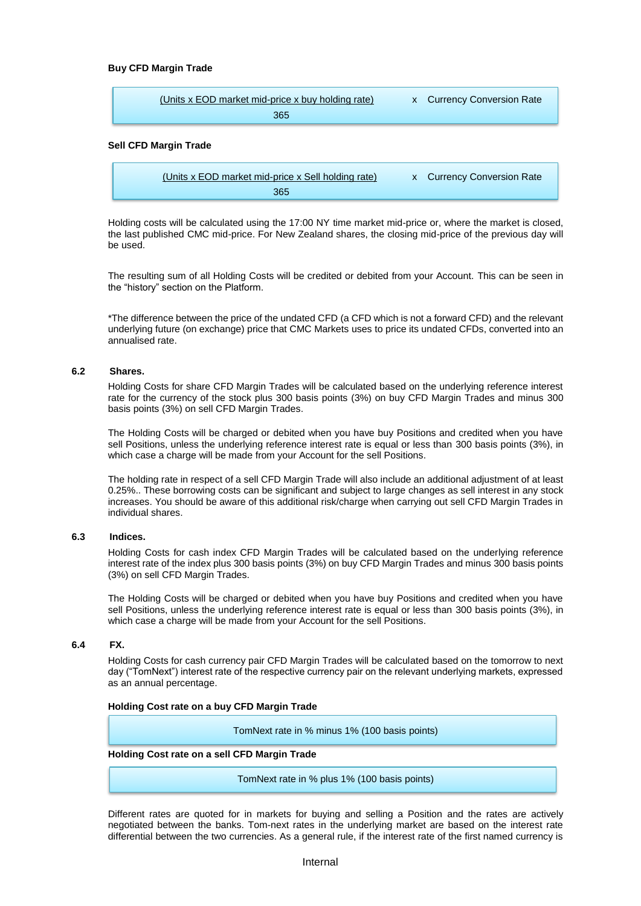## **Buy CFD Margin Trade**

| (Units x EOD market mid-price x buy holding rate) | x Currency Conversion Rate |
|---------------------------------------------------|----------------------------|
| 365                                               |                            |
|                                                   |                            |

#### **Sell CFD Margin Trade**

| (Units x EOD market mid-price x Sell holding rate) | x Currency Conversion Rate |
|----------------------------------------------------|----------------------------|
| 365                                                |                            |

Holding costs will be calculated using the 17:00 NY time market mid-price or, where the market is closed, the last published CMC mid-price. For New Zealand shares, the closing mid-price of the previous day will be used.

The resulting sum of all Holding Costs will be credited or debited from your Account. This can be seen in the "history" section on the Platform.

\*The difference between the price of the undated CFD (a CFD which is not a forward CFD) and the relevant underlying future (on exchange) price that CMC Markets uses to price its undated CFDs, converted into an annualised rate.

#### **6.2 Shares.**

Holding Costs for share CFD Margin Trades will be calculated based on the underlying reference interest rate for the currency of the stock plus 300 basis points (3%) on buy CFD Margin Trades and minus 300 basis points (3%) on sell CFD Margin Trades.

The Holding Costs will be charged or debited when you have buy Positions and credited when you have sell Positions, unless the underlying reference interest rate is equal or less than 300 basis points (3%), in which case a charge will be made from your Account for the sell Positions.

The holding rate in respect of a sell CFD Margin Trade will also include an additional adjustment of at least 0.25%.. These borrowing costs can be significant and subject to large changes as sell interest in any stock increases. You should be aware of this additional risk/charge when carrying out sell CFD Margin Trades in individual shares.

## **6.3 Indices.**

Holding Costs for cash index CFD Margin Trades will be calculated based on the underlying reference interest rate of the index plus 300 basis points (3%) on buy CFD Margin Trades and minus 300 basis points (3%) on sell CFD Margin Trades.

The Holding Costs will be charged or debited when you have buy Positions and credited when you have sell Positions, unless the underlying reference interest rate is equal or less than 300 basis points (3%), in which case a charge will be made from your Account for the sell Positions.

## **6.4 FX.**

Holding Costs for cash currency pair CFD Margin Trades will be calculated based on the tomorrow to next day ("TomNext") interest rate of the respective currency pair on the relevant underlying markets, expressed as an annual percentage.

## **Holding Cost rate on a buy CFD Margin Trade**

TomNext rate in % minus 1% (100 basis points)

## **Holding Cost rate on a sell CFD Margin Trade**

TomNext rate in % plus 1% (100 basis points)

Different rates are quoted for in markets for buying and selling a Position and the rates are actively negotiated between the banks. Tom-next rates in the underlying market are based on the interest rate differential between the two currencies. As a general rule, if the interest rate of the first named currency is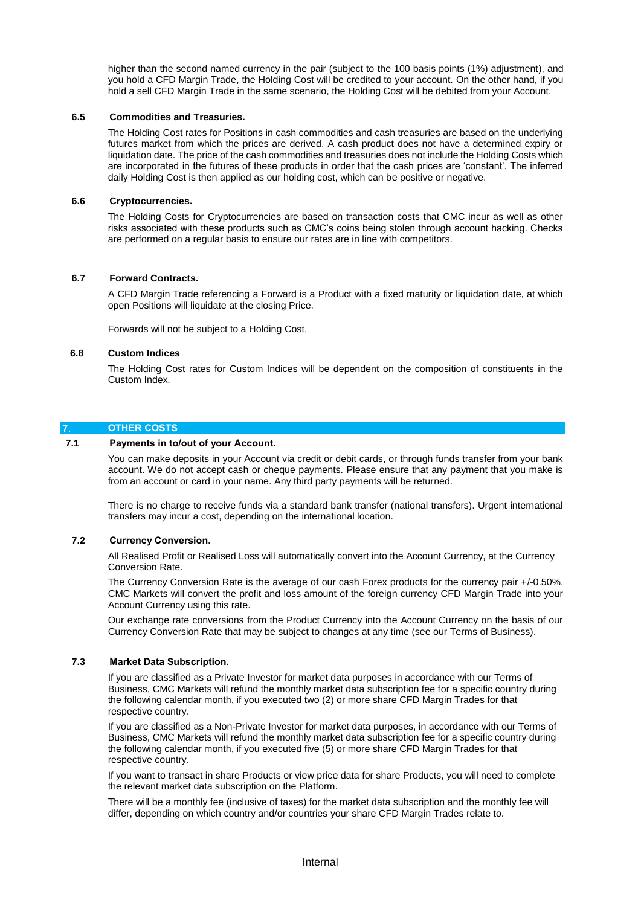higher than the second named currency in the pair (subject to the 100 basis points (1%) adjustment), and you hold a CFD Margin Trade, the Holding Cost will be credited to your account. On the other hand, if you hold a sell CFD Margin Trade in the same scenario, the Holding Cost will be debited from your Account.

## **6.5 Commodities and Treasuries.**

The Holding Cost rates for Positions in cash commodities and cash treasuries are based on the underlying futures market from which the prices are derived. A cash product does not have a determined expiry or liquidation date. The price of the cash commodities and treasuries does not include the Holding Costs which are incorporated in the futures of these products in order that the cash prices are 'constant'. The inferred daily Holding Cost is then applied as our holding cost, which can be positive or negative.

#### **6.6 Cryptocurrencies.**

The Holding Costs for Cryptocurrencies are based on transaction costs that CMC incur as well as other risks associated with these products such as CMC's coins being stolen through account hacking. Checks are performed on a regular basis to ensure our rates are in line with competitors.

# **6.7 Forward Contracts.**

A CFD Margin Trade referencing a Forward is a Product with a fixed maturity or liquidation date, at which open Positions will liquidate at the closing Price.

Forwards will not be subject to a Holding Cost.

#### **6.8 Custom Indices**

The Holding Cost rates for Custom Indices will be dependent on the composition of constituents in the Custom Index.

# <span id="page-7-0"></span>**OTHER COSTS**

#### **7.1 Payments in to/out of your Account.**

You can make deposits in your Account via credit or debit cards, or through funds transfer from your bank account. We do not accept cash or cheque payments. Please ensure that any payment that you make is from an account or card in your name. Any third party payments will be returned.

There is no charge to receive funds via a standard bank transfer (national transfers). Urgent international transfers may incur a cost, depending on the international location.

## **7.2 Currency Conversion.**

All Realised Profit or Realised Loss will automatically convert into the Account Currency, at the Currency Conversion Rate.

The Currency Conversion Rate is the average of our cash Forex products for the currency pair +/-0.50%. CMC Markets will convert the profit and loss amount of the foreign currency CFD Margin Trade into your Account Currency using this rate.

Our exchange rate conversions from the Product Currency into the Account Currency on the basis of our Currency Conversion Rate that may be subject to changes at any time (see our Terms of Business).

#### **7.3 Market Data Subscription.**

If you are classified as a Private Investor for market data purposes in accordance with our Terms of Business, CMC Markets will refund the monthly market data subscription fee for a specific country during the following calendar month, if you executed two (2) or more share CFD Margin Trades for that respective country.

If you are classified as a Non-Private Investor for market data purposes, in accordance with our Terms of Business, CMC Markets will refund the monthly market data subscription fee for a specific country during the following calendar month, if you executed five (5) or more share CFD Margin Trades for that respective country.

If you want to transact in share Products or view price data for share Products, you will need to complete the relevant market data subscription on the Platform.

There will be a monthly fee (inclusive of taxes) for the market data subscription and the monthly fee will differ, depending on which country and/or countries your share CFD Margin Trades relate to.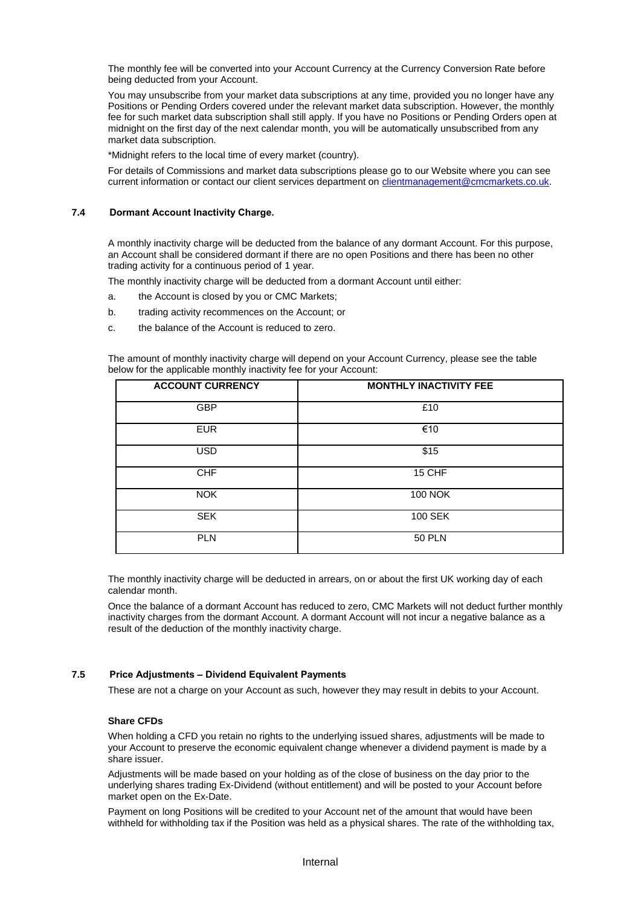The monthly fee will be converted into your Account Currency at the Currency Conversion Rate before being deducted from your Account.

You may unsubscribe from your market data subscriptions at any time, provided you no longer have any Positions or Pending Orders covered under the relevant market data subscription. However, the monthly fee for such market data subscription shall still apply. If you have no Positions or Pending Orders open at midnight on the first day of the next calendar month, you will be automatically unsubscribed from any market data subscription.

\*Midnight refers to the local time of every market (country).

For details of Commissions and market data subscriptions please go to our Website where you can see current information or contact our client services department on [clientmanagement@cmcmarkets.co.uk.](mailto:clientmanagement@cmcmarkets.co.uk)

#### **7.4 Dormant Account Inactivity Charge.**

A monthly inactivity charge will be deducted from the balance of any dormant Account. For this purpose, an Account shall be considered dormant if there are no open Positions and there has been no other trading activity for a continuous period of 1 year.

The monthly inactivity charge will be deducted from a dormant Account until either:

- a. the Account is closed by you or CMC Markets;
- b. trading activity recommences on the Account; or
- c. the balance of the Account is reduced to zero.

The amount of monthly inactivity charge will depend on your Account Currency, please see the table below for the applicable monthly inactivity fee for your Account:

| <b>ACCOUNT CURRENCY</b> | <b>MONTHLY INACTIVITY FEE</b> |
|-------------------------|-------------------------------|
| <b>GBP</b>              | £10                           |
| <b>EUR</b>              | €10                           |
| <b>USD</b>              | \$15                          |
| <b>CHF</b>              | 15 CHF                        |
| <b>NOK</b>              | <b>100 NOK</b>                |
| <b>SEK</b>              | 100 SEK                       |
| <b>PLN</b>              | <b>50 PLN</b>                 |

The monthly inactivity charge will be deducted in arrears, on or about the first UK working day of each calendar month.

Once the balance of a dormant Account has reduced to zero, CMC Markets will not deduct further monthly inactivity charges from the dormant Account. A dormant Account will not incur a negative balance as a result of the deduction of the monthly inactivity charge.

#### **7.5 Price Adjustments – Dividend Equivalent Payments**

These are not a charge on your Account as such, however they may result in debits to your Account.

#### **Share CFDs**

When holding a CFD you retain no rights to the underlying issued shares, adjustments will be made to your Account to preserve the economic equivalent change whenever a dividend payment is made by a share issuer.

Adjustments will be made based on your holding as of the close of business on the day prior to the underlying shares trading Ex-Dividend (without entitlement) and will be posted to your Account before market open on the Ex-Date.

Payment on long Positions will be credited to your Account net of the amount that would have been withheld for withholding tax if the Position was held as a physical shares. The rate of the withholding tax,